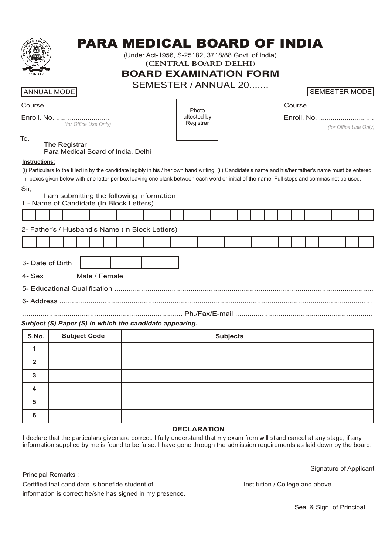

# PARA MEDICAL BOARD OF INDIA

(Under Act-1956, S-25182, 3718/88 Govt. of India)

**(CENTRAL BOARD DELHI)**

**BOARD EXAMINATION FORM**

SEMESTER / ANNUAL 20.......

# **ANNUAL MODE**

| Course |
|--------|
|--------|

Enroll. No. ............................ *(for Office Use Only)*

Photo attested by Registrar

| <b>SEMESTER MODE</b> |
|----------------------|
|----------------------|

| Course |
|--------|
|--------|

Enroll. No. ............................

*(for Office Use Only)*

# The Registrar

Para Medical Board of India, Delhi

## **Instructions:**

To,

(i) Particulars to the filled in by the candidate legibly in his / her own hand writing. (ii) Candidate's name and his/her father's name must be entered in boxes given below with one letter per box leaving one blank between each word or initial of the name. Full stops and commas not be used. Sir,

# I am submitting the following information

|  | 1 - Name of Candidate (In Block Letters) |
|--|------------------------------------------|

|                                                        | 2- Father's / Husband's Name (In Block Letters) |  |  |  |  |  |  |  |  |  |  |  |  |  |  |  |  |  |  |  |
|--------------------------------------------------------|-------------------------------------------------|--|--|--|--|--|--|--|--|--|--|--|--|--|--|--|--|--|--|--|
|                                                        |                                                 |  |  |  |  |  |  |  |  |  |  |  |  |  |  |  |  |  |  |  |
| 3- Date of Birth                                       |                                                 |  |  |  |  |  |  |  |  |  |  |  |  |  |  |  |  |  |  |  |
| 4- Sex Male / Female                                   |                                                 |  |  |  |  |  |  |  |  |  |  |  |  |  |  |  |  |  |  |  |
|                                                        |                                                 |  |  |  |  |  |  |  |  |  |  |  |  |  |  |  |  |  |  |  |
|                                                        |                                                 |  |  |  |  |  |  |  |  |  |  |  |  |  |  |  |  |  |  |  |
|                                                        |                                                 |  |  |  |  |  |  |  |  |  |  |  |  |  |  |  |  |  |  |  |
| Cubinat (C) Danar (C) in which the condidate annoaring |                                                 |  |  |  |  |  |  |  |  |  |  |  |  |  |  |  |  |  |  |  |

# *Subject (S) Paper (S) in which the candidate appearing.*

| S.No. | <b>Subject Code</b> | <b>Subjects</b> |
|-------|---------------------|-----------------|
|       |                     |                 |
| ິ     |                     |                 |
| З     |                     |                 |
| 4     |                     |                 |
| 5     |                     |                 |
| 6     |                     |                 |

# **DECLARATION**

I declare that the particulars given are correct. I fully understand that my exam from will stand cancel at any stage, if any information supplied by me is found to be false. I have gone through the admission requirements as laid down by the board.

|                                                          | Signature of Applicant |
|----------------------------------------------------------|------------------------|
| Principal Remarks :                                      |                        |
|                                                          |                        |
| information is correct he/she has signed in my presence. |                        |

Seal & Sign. of Principal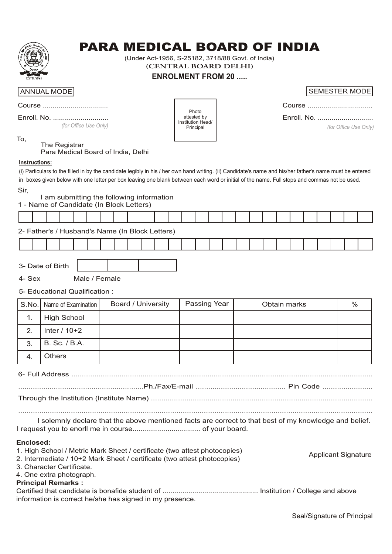

# PARA MEDICAL BOARD OF INDIA

(Under Act-1956, S-25182, 3718/88 Govt. of India) **(CENTRAL BOARD DELHI)**

# **ENROLMENT FROM 20 .....**

# ANNUAL MODE

| Course |  |
|--------|--|
|        |  |

*(for Office Use Only)*

Photo attested by Institution Head/ Principal

| Enroll. No. |
|-------------|

*(for Office Use Only)*

### To, The Registrar

Para Medical Board of India, Delhi

## **Instructions:**

(i) Particulars to the filled in by the candidate legibly in his / her own hand writing. (ii) Candidate's name and his/her father's name must be entered in boxes given below with one letter per box leaving one blank between each word or initial of the name. Full stops and commas not be used.

Sir,

# I am submitting the following information

| 1 - Name of Candidate (In Block Letters) |                                                 |  |  |  |  |  |  |  |  |  |  |  |  |  |  |  |  |  |
|------------------------------------------|-------------------------------------------------|--|--|--|--|--|--|--|--|--|--|--|--|--|--|--|--|--|
|                                          |                                                 |  |  |  |  |  |  |  |  |  |  |  |  |  |  |  |  |  |
|                                          | 2- Father's / Husband's Name (In Block Letters) |  |  |  |  |  |  |  |  |  |  |  |  |  |  |  |  |  |

3- Date of Birth

4- Sex Male / Female

5- Educational Qualification :

|    | S.No.   Name of Examination | <b>Board / University</b> | Passing Year | Obtain marks | $\%$ |
|----|-----------------------------|---------------------------|--------------|--------------|------|
| ι. | <b>High School</b>          |                           |              |              |      |
| 2. | Inter $/ 10+2$              |                           |              |              |      |
| 3. | B. Sc. / B.A.               |                           |              |              |      |
|    | <b>Others</b>               |                           |              |              |      |

........................................................................................................................................................................ I solemnly declare that the above mentioned facts are correct to that best of my knowledge and belief.

I request you to enorll me in course................................. of your board.

# **Enclosed:**

| 1. High School / Metric Mark Sheet / certificate (two attest photocopies) | <b>Applicant Signature</b> |
|---------------------------------------------------------------------------|----------------------------|
| 2. Intermediate / 10+2 Mark Sheet / certificate (two attest photocopies)  |                            |
| 3. Character Certificate.                                                 |                            |
| 4. One extra photograph.                                                  |                            |
| <b>Principal Remarks:</b>                                                 |                            |
|                                                                           |                            |
| information is correct he/she has signed in my presence.                  |                            |